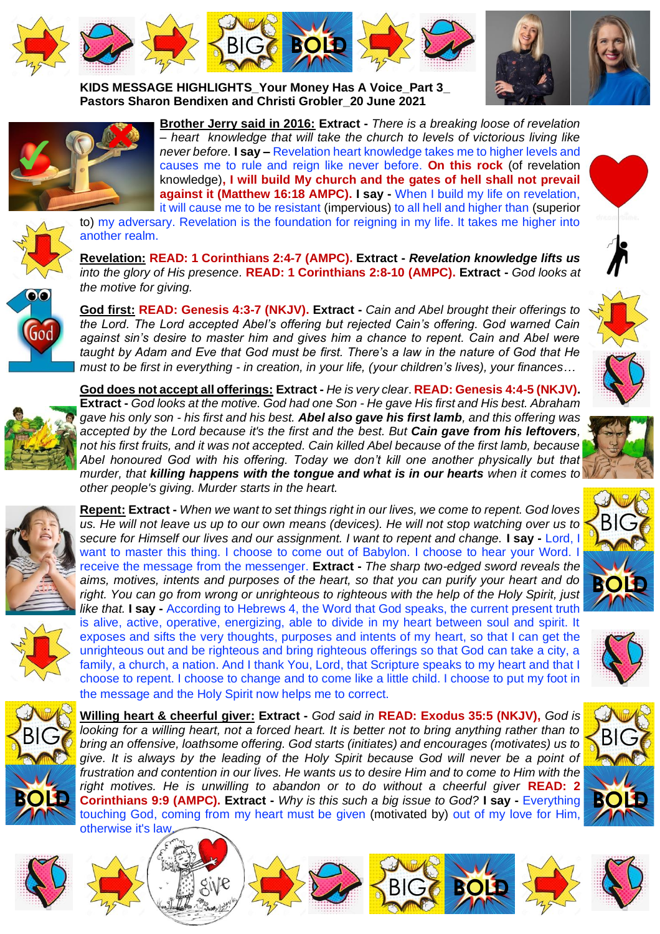







**KIDS MESSAGE HIGHLIGHTS\_Your Money Has A Voice\_Part 3\_ Pastors Sharon Bendixen and Christi Grobler\_20 June 2021** 



**Brother Jerry said in 2016: Extract -** *There is a breaking loose of revelation – heart knowledge that will take the church to levels of victorious living like never before.* **I say –** Revelation heart knowledge takes me to higher levels and causes me to rule and reign like never before. **On this rock** (of revelation knowledge)**, I will build My church and the gates of hell shall not prevail against it (Matthew 16:18 AMPC). I say -** When I build my life on revelation, it will cause me to be resistant (impervious) to all hell and higher than (superior

to) my adversary. Revelation is the foundation for reigning in my life. It takes me higher into another realm.

**Revelation: READ: 1 Corinthians 2:4-7 (AMPC). Extract -** *Revelation knowledge lifts us into the glory of His presence.* **READ: 1 Corinthians 2:8-10 (AMPC). Extract -** *God looks at the motive for giving.*

**God first: READ: Genesis 4:3-7 (NKJV). Extract -** *Cain and Abel brought their offerings to the Lord. The Lord accepted Abel's offering but rejected Cain's offering. God warned Cain against sin's desire to master him and gives him a chance to repent. Cain and Abel were taught by Adam and Eve that God must be first. There's a law in the nature of God that He must to be first in everything - in creation, in your life, (your children's lives), your finances…*



**God does not accept all offerings: Extract -** *He is very clear*. **READ: Genesis 4:4-5 (NKJV). Extract -** *God looks at the motive. God had one Son - He gave His first and His best. Abraham gave his only son - his first and his best. Abel also gave his first lamb, and this offering was accepted by the Lord because it's the first and the best. But Cain gave from his leftovers, not his first fruits, and it was not accepted. Cain killed Abel because of the first lamb, because Abel honoured God with his offering. Today we don't kill one another physically but that murder, that killing happens with the tongue and what is in our hearts when it comes to other people's giving. Murder starts in the heart.* 







**Repent: Extract -** *When we want to set things right in our lives, we come to repent. God loves us. He will not leave us up to our own means (devices). He will not stop watching over us to secure for Himself our lives and our assignment. I want to repent and change.* **I say -** Lord, I want to master this thing. I choose to come out of Babylon. I choose to hear your Word. I receive the message from the messenger. **Extract -** *The sharp two-edged sword reveals the aims, motives, intents and purposes of the heart, so that you can purify your heart and do right. You can go from wrong or unrighteous to righteous with the help of the Holy Spirit, just like that.* **I say -** According to Hebrews 4, the Word that God speaks, the current present truth is alive, active, operative, energizing, able to divide in my heart between soul and spirit. It exposes and sifts the very thoughts, purposes and intents of my heart, so that I can get the unrighteous out and be righteous and bring righteous offerings so that God can take a city, a family, a church, a nation. And I thank You, Lord, that Scripture speaks to my heart and that I choose to repent. I choose to change and to come like a little child. I choose to put my foot in the message and the Holy Spirit now helps me to correct.



**Willing heart & cheerful giver: Extract -** *God said in* **READ: Exodus 35:5 (NKJV),** *God is looking for a willing heart, not a forced heart. It is better not to bring anything rather than to bring an offensive, loathsome offering. God starts (initiates) and encourages (motivates) us to give. It is always by the leading of the Holy Spirit because God will never be a point of frustration and contention in our lives. He wants us to desire Him and to come to Him with the right motives. He is unwilling to abandon or to do without a cheerful giver* **READ: 2 Corinthians 9:9 (AMPC). Extract -** *Why is this such a big issue to God?* **I say -** Everything touching God, coming from my heart must be given (motivated by) out of my love for Him, otherwise it's law.

















**BOLD**